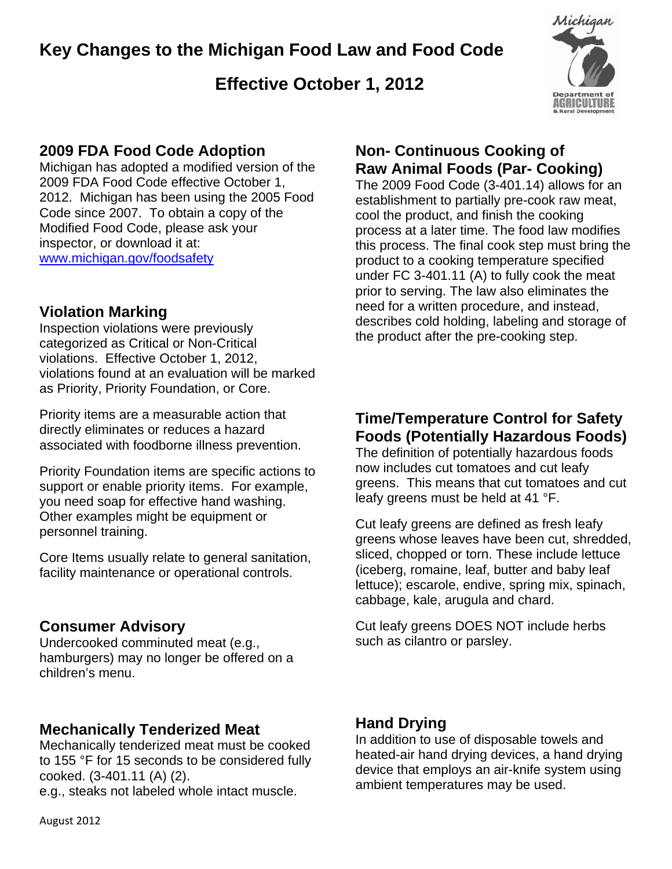## **Key Changes to the Michigan Food Law and Food Code**

## **Effective October 1, 2012**



### **2009 FDA Food Code Adoption**

Michigan has adopted a modified version of the 2009 FDA Food Code effective October 1, 2012. Michigan has been using the 2005 Food Code since 2007. To obtain a copy of the Modified Food Code, please ask your inspector, or download it at: www.michigan.gov/foodsafety

#### **Violation Marking**

Inspection violations were previously categorized as Critical or Non-Critical violations. Effective October 1, 2012, violations found at an evaluation will be marked as Priority, Priority Foundation, or Core.

Priority items are a measurable action that directly eliminates or reduces a hazard associated with foodborne illness prevention.

Priority Foundation items are specific actions to support or enable priority items. For example, you need soap for effective hand washing. Other examples might be equipment or personnel training.

Core Items usually relate to general sanitation, facility maintenance or operational controls.

#### **Consumer Advisory**

Undercooked comminuted meat (e.g., hamburgers) may no longer be offered on a children's menu.

#### **Mechanically Tenderized Meat**

Mechanically tenderized meat must be cooked to 155 °F for 15 seconds to be considered fully cooked. (3-401.11 (A) (2). e.g., steaks not labeled whole intact muscle.

## **Non- Continuous Cooking of Raw Animal Foods (Par- Cooking)**

The 2009 Food Code (3-401.14) allows for an establishment to partially pre-cook raw meat, cool the product, and finish the cooking process at a later time. The food law modifies this process. The final cook step must bring the product to a cooking temperature specified under FC 3-401.11 (A) to fully cook the meat prior to serving. The law also eliminates the need for a written procedure, and instead, describes cold holding, labeling and storage of the product after the pre-cooking step.

## **Time/Temperature Control for Safety Foods (Potentially Hazardous Foods)**

The definition of potentially hazardous foods now includes cut tomatoes and cut leafy greens. This means that cut tomatoes and cut leafy greens must be held at 41 °F.

Cut leafy greens are defined as fresh leafy greens whose leaves have been cut, shredded, sliced, chopped or torn. These include lettuce (iceberg, romaine, leaf, butter and baby leaf lettuce); escarole, endive, spring mix, spinach, cabbage, kale, arugula and chard.

Cut leafy greens DOES NOT include herbs such as cilantro or parsley.

#### **Hand Drying**

In addition to use of disposable towels and heated-air hand drying devices, a hand drying device that employs an air-knife system using ambient temperatures may be used.